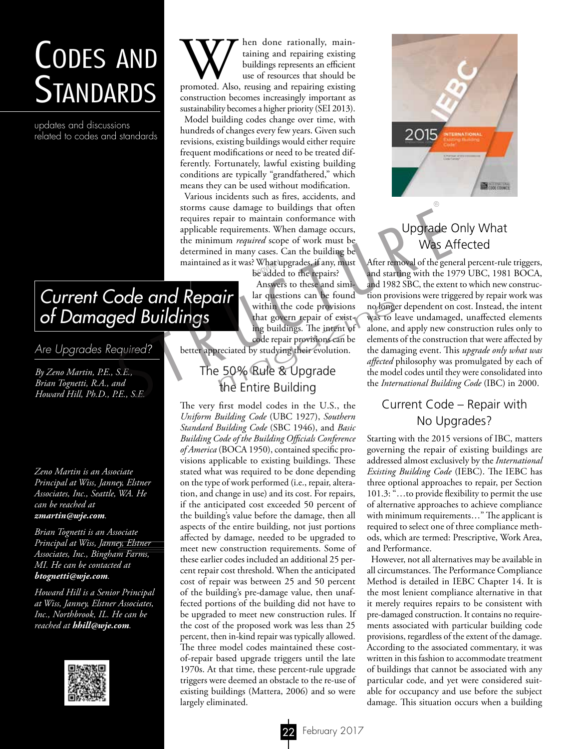# Codes and **STANDARDS**

updates and discussions related to codes and standards

When done rationally, main-<br>taining and repairing existing<br>buildings represents an efficient<br>use of resources that should be<br>promoted. Also, reusing and repairing existing taining and repairing existing buildings represents an efficient use of resources that should be construction becomes increasingly important as sustainability becomes a higher priority (SEI 2013). Model building codes change over time, with hundreds of changes every few years. Given such revisions, existing buildings would either require frequent modifications or need to be treated differently. Fortunately, lawful existing building conditions are typically "grandfathered," which means they can be used without modification.

Various incidents such as fires, accidents, and storms cause damage to buildings that often requires repair to maintain conformance with applicable requirements. When damage occurs, the minimum *required* scope of work must be determined in many cases. Can the building be maintained as it was? What upgrades, if any, must ? What upgrades, if any, 1<br>be added to the repairs? storms cause damage to buildings that often<br>requires repair to maintain conformance with<br>applicable requirements. When damage occurs,<br>the mimimum *required* scope of work must be<br>determined in many cases. Can the building

Answers to these and similar questions can be found within the code provisions that govern repair of existing buildings. The intent of code repair provisions can be within the code provisions no longe<br>that govern repair of exist-<br>ing buildings. The intent of alone, are code repair provisions can be elements<br>reciated by studying their evolution. the dam-<br> $\frac{affected}{1}$ <br>50% Rule & Upgrade<br>th

better appreciated by studying their evolution.

# The 50% Rule & Upgrade the Entire Building

The very first model codes in the U.S., the *Uniform Building Code* (UBC 1927), *Southern Standard Building Code* (SBC 1946), and *Basic Building Code of the Building Officials Conference of America* (BOCA 1950), contained specific provisions applicable to existing buildings. These stated what was required to be done depending on the type of work performed (i.e., repair, alteration, and change in use) and its cost. For repairs, if the anticipated cost exceeded 50 percent of the building's value before the damage, then all aspects of the entire building, not just portions affected by damage, needed to be upgraded to meet new construction requirements. Some of these earlier codes included an additional 25 percent repair cost threshold. When the anticipated cost of repair was between 25 and 50 percent of the building's pre-damage value, then unaffected portions of the building did not have to be upgraded to meet new construction rules. If the cost of the proposed work was less than 25 percent, then in-kind repair was typically allowed. The three model codes maintained these costof-repair based upgrade triggers until the late 1970s. At that time, these percent-rule upgrade triggers were deemed an obstacle to the re-use of existing buildings (Mattera, 2006) and so were largely eliminated.



# Upgrade Only What Was Affected

After removal of the general percent-rule triggers, and starting with the 1979 UBC, 1981 BOCA, and 1982 SBC, the extent to which new construction provisions were triggered by repair work was no longer dependent on cost. Instead, the intent was to leave undamaged, unaffected elements alone, and apply new construction rules only to elements of the construction that were affected by the damaging event. This *upgrade only what was affected* philosophy was promulgated by each of the model codes until they were consolidated into the *International Building Code* (IBC) in 2000.

# Current Code – Repair with No Upgrades?

Starting with the 2015 versions of IBC, matters governing the repair of existing buildings are addressed almost exclusively by the *International Existing Building Code* (IEBC). The IEBC has three optional approaches to repair, per Section 101.3: "…to provide flexibility to permit the use of alternative approaches to achieve compliance with minimum requirements…" The applicant is required to select one of three compliance methods, which are termed: Prescriptive, Work Area, and Performance.

However, not all alternatives may be available in all circumstances. The Performance Compliance Method is detailed in IEBC Chapter 14. It is the most lenient compliance alternative in that it merely requires repairs to be consistent with pre-damaged construction. It contains no requirements associated with particular building code provisions, regardless of the extent of the damage. According to the associated commentary, it was written in this fashion to accommodate treatment of buildings that cannot be associated with any particular code, and yet were considered suitable for occupancy and use before the subject damage. This situation occurs when a building

# *Current Code and Repair of Damaged Buildings*

*Are Upgrades Required?*

*By Zeno Martin, P.E., S.E., Brian Tognetti, R.A., and Howard Hill, Ph.D., P.E., S.E.*

*Zeno Martin is an Associate Principal at Wiss, Janney, Elstner Associates, Inc., Seattle, WA. He can be reached at zmartin@wje.com.*

*Brian Tognetti is an Associate Principal at Wiss, Janney, Elstner Associates, Inc., Bingham Farms, MI. He can be contacted at btognetti@wje.com.*

*Howard Hill is a Senior Principal at Wiss, Janney, Elstner Associates, Inc., Northbrook, IL. He can be reached at hhill@wje.com.*

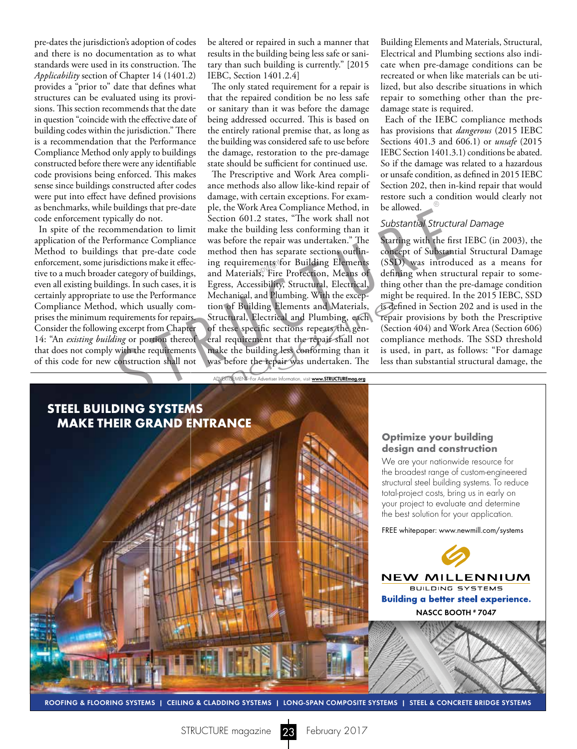pre-dates the jurisdiction's adoption of codes and there is no documentation as to what standards were used in its construction. The *Applicability* section of Chapter 14 (1401.2) provides a "prior to" date that defines what structures can be evaluated using its provisions. This section recommends that the date in question "coincide with the effective date of building codes within the jurisdiction." There is a recommendation that the Performance Compliance Method only apply to buildings constructed before there were any identifiable code provisions being enforced. This makes sense since buildings constructed after codes were put into effect have defined provisions as benchmarks, while buildings that pre-date code enforcement typically do not.

In spite of the recommendation to limit application of the Performance Compliance Method to buildings that pre-date code enforcement, some jurisdictions make it effective to a much broader category of buildings, even all existing buildings. In such cases, it is certainly appropriate to use the Performance Compliance Method, which usually comprises the minimum requirements for repairs. Consider the following excerpt from Chapter 14: "An *existing building* or portion thereof that does not comply with the requirements of this code for new construction shall not

be altered or repaired in such a manner that results in the building being less safe or sanitary than such building is currently." [2015 IEBC, Section 1401.2.4]

The only stated requirement for a repair is that the repaired condition be no less safe or sanitary than it was before the damage being addressed occurred. This is based on the entirely rational premise that, as long as the building was considered safe to use before the damage, restoration to the pre-damage state should be sufficient for continued use.

The Prescriptive and Work Area compliance methods also allow like-kind repair of damage, with certain exceptions. For example, the Work Area Compliance Method, in Section 601.2 states, "The work shall not make the building less conforming than it was before the repair was undertaken." The method then has separate sections outlining requirements for Building Elements ing requirements for Building Elements<br>and Materials, Fire Protection, Means of Egress, Accessibility, Structural, Electrical, Mechanical, and Plumbing. With the exception of Building Elements and Materials, Structural, Electrical and Plumbing, each of these specific sections repeats the general requirement that the repair shall not make the building less conforming than it was before the repair was undertaken. The buildings that pre-date ple, the Work Area Compliance Method, in be allowed.<br>
ically do not. Section 601.2 states, "The work shall not substantial Struct<br>
mmendation to limit make the building less conforming than it<br>
subs m of Building Elements and Materials, is de<br>uctural, Electrical and Plumbing, each repair<br>these specific sections repeats the gen-<br>I requirement that the repair shall not com<br>ke the building less conforming than it is us<br>s

Building Elements and Materials, Structural, Electrical and Plumbing sections also indicate when pre-damage conditions can be recreated or when like materials can be utilized, but also describe situations in which repair to something other than the predamage state is required.

Each of the IEBC compliance methods has provisions that *dangerous* (2015 IEBC Sections 401.3 and 606.1) or *unsafe* (2015 IEBC Section 1401.3.1) conditions be abated. So if the damage was related to a hazardous or unsafe condition, as defined in 2015 IEBC Section 202, then in-kind repair that would restore such a condition would clearly not be allowed.

#### *Substantial Structural Damage*

Starting with the first IEBC (in 2003), the concept of Substantial Structural Damage (SSD) was introduced as a means for defining when structural repair to something other than the pre-damage condition might be required. In the 2015 IEBC, SSD is defined in Section 202 and is used in the repair provisions by both the Prescriptive (Section 404) and Work Area (Section 606) compliance methods. The SSD threshold is used, in part, as follows: "For damage less than substantial structural damage, the